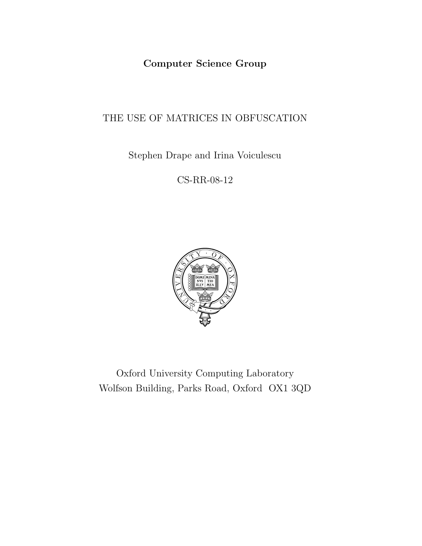Computer Science Group

# THE USE OF MATRICES IN OBFUSCATION

Stephen Drape and Irina Voiculescu

CS-RR-08-12



Oxford University Computing Laboratory Wolfson Building, Parks Road, Oxford OX1 3QD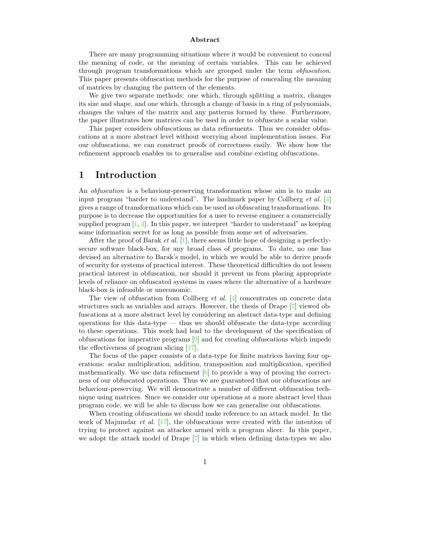#### Abstract

There are many programming situations where it would be convenient to conceal the meaning of code, or the meaning of certain variables. This can be achieved through program transformations which are grouped under the term *obfuscation*. This paper presents obfuscation methods for the purpose of concealing the meaning of matrices by changing the pattern of the elements.

We give two separate methods: one which, through splitting a matrix, changes its size and shape, and one which, through a change of basis in a ring of polynomials, changes the values of the matrix and any patterns formed by these. Furthermore, the paper illustrates how matrices can be used in order to obfuscate a scalar value.

This paper considers obfuscations as data refinements. Thus we consider obfuscations at a more abstract level without worrying about implementation issues. For our obfuscations, we can construct proofs of correctness easily. We show how the refinement approach enables us to generalise and combine existing obfuscations.

# <span id="page-1-0"></span>1 Introduction

An obfuscation is a behaviour-preserving transformation whose aim is to make an input program "harder to understand". The landmark paper by Collberg  $et \ al.$  [\[4\]](#page-27-0) gives a range of transformations which can be used as obfuscating transformations. Its purpose is to decrease the opportunities for a user to reverse engineer a commercially supplied program  $[1, 4]$  $[1, 4]$ . In this paper, we interpret "harder to understand" as keeping some information secret for as long as possible from some set of adversaries.

After the proof of Barak *et al.* [\[1\]](#page-27-1), there seems little hope of designing a perfectlysecure software black-box, for any broad class of programs. To date, no one has devised an alternative to Barak's model, in which we would be able to derive proofs of security for systems of practical interest. These theoretical difficulties do not lessen practical interest in obfuscation, nor should it prevent us from placing appropriate levels of reliance on obfuscated systems in cases where the alternative of a hardware black-box is infeasible or uneconomic.

The view of obfuscation from Collberg *et al.* [\[4\]](#page-27-0) concentrates on concrete data structures such as variables and arrays. However, the thesis of Drape [\[7\]](#page-27-2) viewed obfuscations at a more abstract level by considering an abstract data-type and defining operations for this data-type — thus we should obfuscate the data-type according to these operations. This work had lead to the development of the specification of obfuscations for imperative programs [\[9\]](#page-28-0) and for creating obfuscations which impede the effectiveness of program slicing [\[17\]](#page-28-1).

The focus of the paper consists of a data-type for finite matrices having four operations: scalar multiplication, addition, transposition and multiplication, specified mathematically. We use data refinement  $[6]$  to provide a way of proving the correctness of our obfuscated operations. Thus we are guaranteed that our obfuscations are behaviour-preserving. We will demonstrate a number of different obfuscation technique using matrices. Since we consider our operations at a more abstract level than program code, we will be able to discuss how we can generalise our obfuscations.

When creating obfuscations we should make reference to an attack model. In the work of Majumdar *et al.* [\[17\]](#page-28-1), the obfuscations were created with the intention of trying to protect against an attacker armed with a program slicer. In this paper, we adopt the attack model of Drape [\[7\]](#page-27-2) in which when defining data-types we also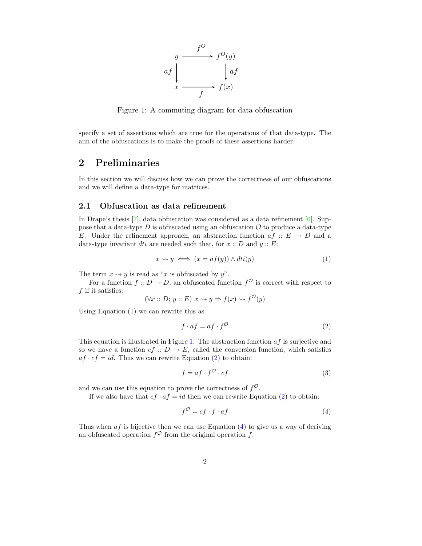

<span id="page-2-1"></span>Figure 1: A commuting diagram for data obfuscation

specify a set of assertions which are true for the operations of that data-type. The aim of the obfuscations is to make the proofs of these assertions harder.

# 2 Preliminaries

In this section we will discuss how we can prove the correctness of our obfuscations and we will define a data-type for matrices.

#### 2.1 Obfuscation as data refinement

In Drape's thesis [\[7\]](#page-27-2), data obfuscation was considered as a data refinement [\[6\]](#page-27-3). Suppose that a data-type  $D$  is obfuscated using an obfuscation  $\mathcal O$  to produce a data-type E. Under the refinement approach, an abstraction function  $af :: E \rightarrow D$  and a data-type invariant *dti* are needed such that, for  $x :: D$  and  $y :: E$ :

$$
x \rightsquigarrow y \iff (x = af(y)) \land dt i(y) \tag{1}
$$

<span id="page-2-0"></span>The term  $x \rightsquigarrow y$  is read as "x is obfuscated by y".

For a function  $f: D \to D$ , an obfuscated function  $f^{\mathcal{O}}$  is correct with respect to  $f$  if it satisfies:

<span id="page-2-2"></span>
$$
(\forall x :: D; y :: E) \ x \rightsquigarrow y \Rightarrow f(x) \rightsquigarrow f^{\mathcal{O}}(y)
$$

Using Equation [\(1\)](#page-2-0) we can rewrite this as

$$
f \cdot af = af \cdot f^{\mathcal{O}} \tag{2}
$$

This equation is illustrated in Figure [1.](#page-2-1) The abstraction function  $af$  is surjective and so we have a function  $cf :: D \to E$ , called the conversion function, which satisfies  $af \cdot cf = id$ . Thus we can rewrite Equation [\(2\)](#page-2-2) to obtain:

<span id="page-2-4"></span>
$$
f = af \cdot f^{\mathcal{O}} \cdot cf \tag{3}
$$

and we can use this equation to prove the correctness of  $f^{\mathcal{O}}$ .

<span id="page-2-3"></span>If we also have that  $cf \cdot af = id$  then we can rewrite Equation [\(2\)](#page-2-2) to obtain:

$$
f^{\mathcal{O}} = cf \cdot f \cdot af \tag{4}
$$

Thus when  $af$  is bijective then we can use Equation [\(4\)](#page-2-3) to give us a way of deriving an obfuscated operation  $f^{\mathcal{O}}$  from the original operation f.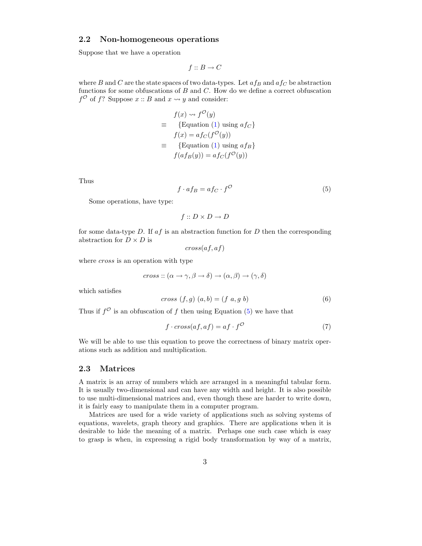## <span id="page-3-2"></span>2.2 Non-homogeneous operations

Suppose that we have a operation

$$
f :: B \to C
$$

where B and C are the state spaces of two data-types. Let  $af_B$  and  $af_C$  be abstraction functions for some obfuscations of  $B$  and  $C$ . How do we define a correct obfuscation  $f^{\mathcal{O}}$  of f? Suppose  $x :: B$  and  $x \leadsto y$  and consider:

$$
f(x) \rightsquigarrow f^{\mathcal{O}}(y)
$$
  
\n
$$
\equiv \{ \text{Equation (1) using } af_C \}
$$
  
\n
$$
f(x) = af_C(f^{\mathcal{O}}(y))
$$
  
\n
$$
\equiv \{ \text{Equation (1) using } af_B \}
$$
  
\n
$$
f(af_B(y)) = af_C(f^{\mathcal{O}}(y))
$$

Thus

$$
f \cdot af_B = af_C \cdot f^{\mathcal{O}}
$$
\n<sup>(5)</sup>

<span id="page-3-0"></span>Some operations, have type:

$$
f: D \times D \to D
$$

for some data-type  $D$ . If  $af$  is an abstraction function for  $D$  then the corresponding abstraction for  $D \times D$  is

$$
cross(af,af)
$$

where *cross* is an operation with type

$$
cross: (\alpha \to \gamma, \beta \to \delta) \to (\alpha, \beta) \to (\gamma, \delta)
$$

which satisfies

$$
cross (f, g) (a, b) = (f a, g b)
$$
\n
$$
(6)
$$

Thus if  $f^{\mathcal{O}}$  is an obfuscation of f then using Equation [\(5\)](#page-3-0) we have that

$$
f \cdot cross(af, af) = af \cdot f^{\circ} \tag{7}
$$

<span id="page-3-3"></span>We will be able to use this equation to prove the correctness of binary matrix operations such as addition and multiplication.

## <span id="page-3-1"></span>2.3 Matrices

A matrix is an array of numbers which are arranged in a meaningful tabular form. It is usually two-dimensional and can have any width and height. It is also possible to use multi-dimensional matrices and, even though these are harder to write down, it is fairly easy to manipulate them in a computer program.

Matrices are used for a wide variety of applications such as solving systems of equations, wavelets, graph theory and graphics. There are applications when it is desirable to hide the meaning of a matrix. Perhaps one such case which is easy to grasp is when, in expressing a rigid body transformation by way of a matrix,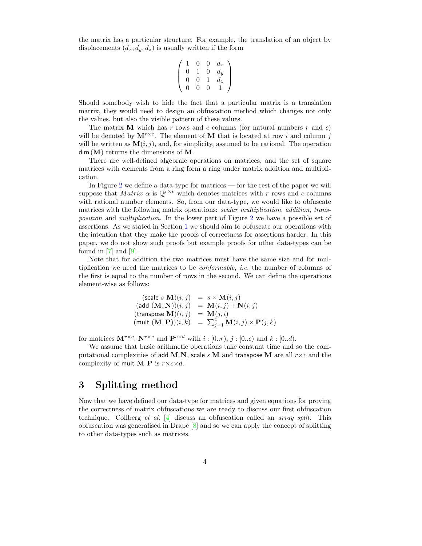the matrix has a particular structure. For example, the translation of an object by displacements  $(d_x, d_y, d_z)$  is usually written if the form

$$
\left(\begin{array}{cccc}\n1 & 0 & 0 & d_x \\
0 & 1 & 0 & d_y \\
0 & 0 & 1 & d_z \\
0 & 0 & 0 & 1\n\end{array}\right)
$$

Should somebody wish to hide the fact that a particular matrix is a translation matrix, they would need to design an obfuscation method which changes not only the values, but also the visible pattern of these values.

The matrix **M** which has r rows and c columns (for natural numbers r and c) will be denoted by  $\mathbf{M}^{r\times c}$ . The element of **M** that is located at row i and column j will be written as  $\mathbf{M}(i, j)$ , and, for simplicity, assumed to be rational. The operation  $dim(M)$  returns the dimensions of M.

There are well-defined algebraic operations on matrices, and the set of square matrices with elements from a ring form a ring under matrix addition and multiplication.

In Figure [2](#page-5-0) we define a data-type for matrices — for the rest of the paper we will suppose that *Matrix*  $\alpha$  is  $\mathbb{Q}^{r \times c}$  which denotes matrices with r rows and c columns with rational number elements. So, from our data-type, we would like to obfuscate matrices with the following matrix operations: *scalar multiplication*, *addition*, *trans*position and multiplication. In the lower part of Figure [2](#page-5-0) we have a possible set of assertions. As we stated in Section [1](#page-1-0) we should aim to obfuscate our operations with the intention that they make the proofs of correctness for assertions harder. In this paper, we do not show such proofs but example proofs for other data-types can be found in [\[7\]](#page-27-2) and [\[9\]](#page-28-0).

Note that for addition the two matrices must have the same size and for multiplication we need the matrices to be conformable, i.e. the number of columns of the first is equal to the number of rows in the second. We can define the operations element-wise as follows:

$$
\begin{array}{rcl} (\text{scale } s \ \mathbf{M})(i,j) & = & s \times \mathbf{M}(i,j) \\ (\text{add } (\mathbf{M},\mathbf{N}))(i,j) & = & \mathbf{M}(i,j) + \mathbf{N}(i,j) \\ (\text{transpose } \mathbf{M})(i,j) & = & \mathbf{M}(j,i) \\ (\text{mult } (\mathbf{M},\mathbf{P}))(i,k) & = & \sum_{j=1}^c \mathbf{M}(i,j) \times \mathbf{P}(j,k) \end{array}
$$

for matrices  $\mathbf{M}^{r\times c}$ ,  $\mathbf{N}^{r\times c}$  and  $\mathbf{P}^{c\times d}$  with  $i: [0..r)$ ,  $j: [0..c)$  and  $k: [0..d)$ .

We assume that basic arithmetic operations take constant time and so the computational complexities of add M N, scale s M and transpose M are all  $r \times c$  and the complexity of mult **M P** is  $r \times c \times d$ .

# 3 Splitting method

Now that we have defined our data-type for matrices and given equations for proving the correctness of matrix obfuscations we are ready to discuss our first obfuscation technique. Collberg et al.  $[4]$  discuss an obfuscation called an *array split*. This obfuscation was generalised in Drape [\[8\]](#page-27-4) and so we can apply the concept of splitting to other data-types such as matrices.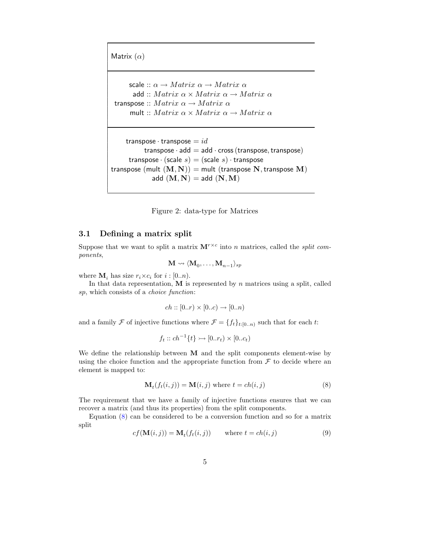Matrix  $(\alpha)$ 

ſ  $\mid$ I  $\mid$ I ļ ľ  $\mid$ I I  $\mid$ I  $\mid$ I  $\mid$ I  $\mid$ I ŀ I I  $\mid$ I  $\mid$ I  $\mid$ I  $\mid$ I  $\mid$ I I ļ

scale ::  $\alpha \rightarrow Matrix \alpha \rightarrow Matrix \alpha$ add ::  $Matrix \alpha \times Matrix \alpha \rightarrow Matrix \alpha$ transpose ::  $Matrix \alpha \rightarrow Matrix \alpha$ mult ::  $Matrix \alpha \times Matrix \alpha \rightarrow Matrix \alpha$ 

transpose  $\cdot$  transpose  $=id$ transpose  $\cdot$  add  $=$  add  $\cdot$  cross (transpose, transpose) transpose  $\cdot$  (scale s) = (scale s)  $\cdot$  transpose transpose (mult  $(M, N)$ ) = mult (transpose N, transpose M) add  $(M, N) =$ add  $(N, M)$ 

<span id="page-5-0"></span>Figure 2: data-type for Matrices

### <span id="page-5-3"></span>3.1 Defining a matrix split

Suppose that we want to split a matrix  $\mathbf{M}^{r\times c}$  into n matrices, called the *split com*ponents,

$$
\mathbf{M} \leadsto \langle \mathbf{M}_0, \dots, \mathbf{M}_{n-1} \rangle_{sp}
$$

where  $\mathbf{M}_i$  has size  $r_i \times c_i$  for  $i : [0..n)$ .

In that data representation,  $M$  is represented by  $n$  matrices using a split, called sp, which consists of a choice function:

$$
ch :: [0..r) \times [0..c) \to [0..n)
$$

and a family F of injective functions where  $\mathcal{F} = \{f_t\}_{t:[0..n)}$  such that for each t:

$$
f_t :: ch^{-1}\{t\} \rightarrow [0..r_t) \times [0..c_t)
$$

We define the relationship between M and the split components element-wise by using the choice function and the appropriate function from  $\mathcal F$  to decide where an element is mapped to:

$$
\mathbf{M}_t(f_t(i,j)) = \mathbf{M}(i,j) \text{ where } t = ch(i,j)
$$
\n(8)

<span id="page-5-1"></span>The requirement that we have a family of injective functions ensures that we can recover a matrix (and thus its properties) from the split components.

<span id="page-5-2"></span>Equation [\(8\)](#page-5-1) can be considered to be a conversion function and so for a matrix split

$$
cf(\mathbf{M}(i,j)) = \mathbf{M}_t(f_t(i,j)) \qquad \text{where } t = ch(i,j)
$$
 (9)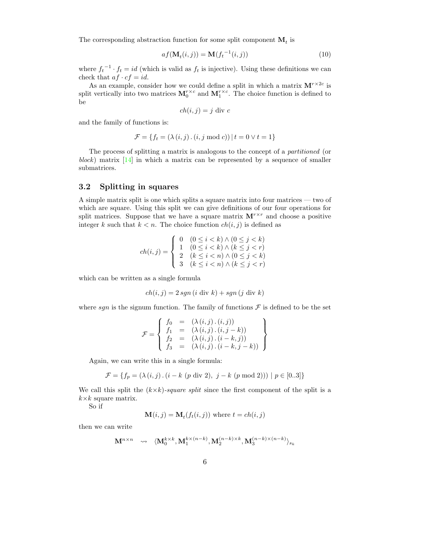<span id="page-6-0"></span>The corresponding abstraction function for some split component  $\mathbf{M}_t$  is

$$
af(\mathbf{M}_t(i,j)) = \mathbf{M}(f_t^{-1}(i,j))
$$
\n(10)

where  $f_t^{-1} \cdot f_t = id$  (which is valid as  $f_t$  is injective). Using these definitions we can check that  $af \cdot cf = id$ .

As an example, consider how we could define a split in which a matrix  $M^{r \times 2c}$  is split vertically into two matrices  $M_0^{r \times c}$  and  $M_1^{r \times c}$ . The choice function is defined to be

$$
ch(i, j) = j \text{ div } c
$$

and the family of functions is:

$$
\mathcal{F} = \{ f_t = (\lambda(i, j) \cdot (i, j \mod c)) \mid t = 0 \lor t = 1 \}
$$

The process of splitting a matrix is analogous to the concept of a partitioned (or block) matrix  $[14]$  in which a matrix can be represented by a sequence of smaller submatrices.

#### <span id="page-6-1"></span>3.2 Splitting in squares

A simple matrix split is one which splits a square matrix into four matrices — two of which are square. Using this split we can give definitions of our four operations for split matrices. Suppose that we have a square matrix  $M^{r\times r}$  and choose a positive integer k such that  $k < n$ . The choice function  $ch(i, j)$  is defined as

$$
ch(i,j) = \begin{cases} 0 & (0 \le i < k) \land (0 \le j < k) \\ 1 & (0 \le i < k) \land (k \le j < r) \\ 2 & (k \le i < n) \land (0 \le j < k) \\ 3 & (k \le i < n) \land (k \le j < r) \end{cases}
$$

which can be written as a single formula

$$
ch(i, j) = 2 \, sgn\left(i \text{ div } k\right) + sgn\left(j \text{ div } k\right)
$$

where sgn is the signum function. The family of functions  $\mathcal F$  is defined to be the set

$$
\mathcal{F} = \left\{ \begin{array}{rcl} f_0 & = & (\lambda(i,j) \cdot (i,j)) \\ f_1 & = & (\lambda(i,j) \cdot (i,j-k)) \\ f_2 & = & (\lambda(i,j) \cdot (i-k,j)) \\ f_3 & = & (\lambda(i,j) \cdot (i-k,j-k)) \end{array} \right\}
$$

Again, we can write this in a single formula:

$$
\mathcal{F}=\{f_p=(\lambda\left(i,j\right).\left(i-k~(p~\mathrm{div}~2),~j-k~(p~\mathrm{mod}~2)\right))~|~p\in[0..3]\}
$$

We call this split the  $(k \times k)$ -square split since the first component of the split is a  $k\times k$  square matrix.

So if

$$
\mathbf{M}(i,j) = \mathbf{M}_t(f_t(i,j))
$$
 where  $t = ch(i,j)$ 

then we can write

$$
\mathbf{M}^{n\times n} \quad \rightsquigarrow \quad \langle \mathbf{M}^{k\times k}_0, \mathbf{M}^{k\times (n-k)}_1, \mathbf{M}^{(n-k)\times k}_2, \mathbf{M}^{(n-k)\times (n-k)}_3\rangle_{s_k}
$$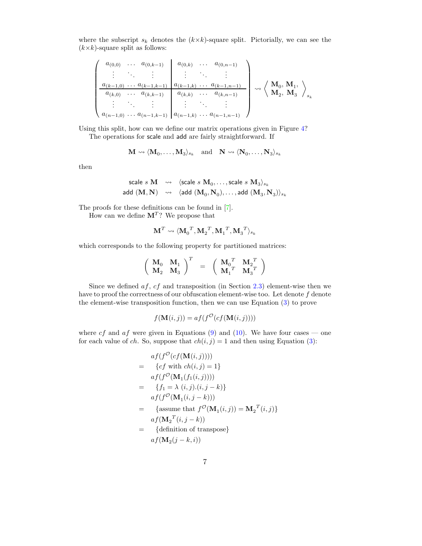where the subscript  $s_k$  denotes the  $(k \times k)$ -square split. Pictorially, we can see the  $(k\times k)$ -square split as follows:

$$
\begin{pmatrix}\n a_{(0,0)} & \dots & a_{(0,k-1)} & a_{(0,k)} & \dots & a_{(0,n-1)} \\
\vdots & \ddots & \vdots & \vdots & \ddots & \vdots \\
 a_{(k-1,0)} & \dots & a_{(k-1,k-1)} & a_{(k-1,k)} & \dots & a_{(k-1,n-1)} \\
\vdots & \ddots & \vdots & \vdots & \ddots & \vdots \\
 a_{(n-1,0)} & \dots & a_{(n-1,k-1)} & a_{(n-1,k)} & \dots & a_{(n-1,n-1)}\n\end{pmatrix}\n \rightsquigarrow\n \begin{pmatrix}\n \mathbf{M}_0, \mathbf{M}_1, \\
 \mathbf{M}_2, \mathbf{M}_3\n\end{pmatrix}_{s_k}
$$

Using this split, how can we define our matrix operations given in Figure [4?](#page-23-0)

The operations for scale and add are fairly straightforward. If

$$
\mathbf{M} \leadsto \langle \mathbf{M}_0, \dots, \mathbf{M}_3 \rangle_{s_k} \quad \text{and} \quad \mathbf{N} \leadsto \langle \mathbf{N}_0, \dots, \mathbf{N}_3 \rangle_{s_k}
$$

then

$$
\begin{array}{ccc} \text{scale } s \textbf{ M} & \leadsto & \langle \text{scale } s \textbf{ M}_0, \ldots, \text{scale } s \textbf{ M}_3 \rangle_{s_k} \\ \text{add }(\textbf{ M}, \textbf{ N}) & \leadsto & \langle \text{add }(\textbf{ M}_0, \textbf{ N}_0), \ldots, \text{add }(\textbf{ M}_3, \textbf{ N}_3) \rangle_{s_k} \end{array}
$$

The proofs for these definitions can be found in [\[7\]](#page-27-2).

How can we define  $M^T$ ? We propose that

$$
\mathbf{M}^T \leadsto \langle {\mathbf{M}_0}^T, {\mathbf{M}_2}^T, {\mathbf{M}_1}^T, {\mathbf{M}_3}^T \rangle_{s_k}
$$

which corresponds to the following property for partitioned matrices:

$$
\left(\begin{array}{cc} {\bf M}_0 & {\bf M}_1 \\ {\bf M}_2 & {\bf M}_3 \\ \end{array}\right)^T \;\; = \;\; \left(\begin{array}{cc} {\bf M}_0^T & {\bf M}_2^T \\ {\bf M}_1^T & {\bf M}_3^T \\ \end{array}\right)
$$

Since we defined  $af, cf$  and transposition (in Section [2.3\)](#page-3-1) element-wise then we have to proof the correctness of our obfuscation element-wise too. Let denote  $f$  denote the element-wise transposition function, then we can use Equation [\(3\)](#page-2-4) to prove

$$
f(\mathbf{M}(i,j)) = af(f^{\mathcal{O}}(cf(\mathbf{M}(i,j))))
$$

where cf and af were given in Equations [\(9\)](#page-5-2) and [\(10\)](#page-6-0). We have four cases — one for each value of ch. So, suppose that  $ch(i, j) = 1$  and then using Equation [\(3\)](#page-2-4):

$$
af(f^{O}(cf(\mathbf{M}(i,j))))
$$
\n
$$
= \{cf \text{ with } ch(i,j) = 1\}
$$
\n
$$
af(f^{O}(\mathbf{M}_{1}(f_{1}(i,j))))
$$
\n
$$
= \{f_{1} = \lambda (i,j).(i,j-k)\}
$$
\n
$$
af(f^{O}(\mathbf{M}_{1}(i,j-k)))
$$
\n
$$
= \{assume \text{ that } f^{O}(\mathbf{M}_{1}(i,j)) = \mathbf{M}_{2}^{T}(i,j)\}
$$
\n
$$
af(\mathbf{M}_{2}^{T}(i,j-k))
$$
\n
$$
= \{definition \text{ of transpose}\}
$$
\n
$$
af(\mathbf{M}_{2}(j-k,i))
$$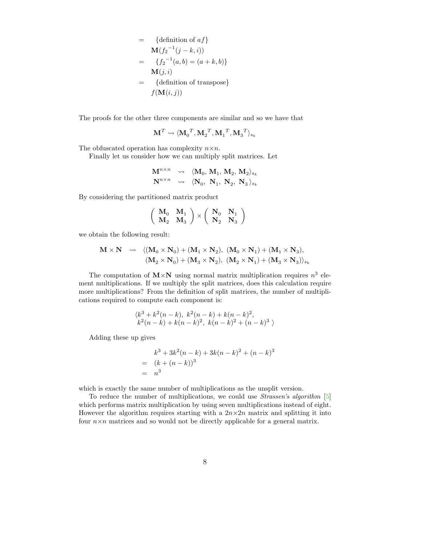$$
= \{ \text{definition of } af \}
$$
  
\n
$$
\mathbf{M}(f_2^{-1}(j-k,i))
$$
  
\n
$$
= \{ f_2^{-1}(a,b) = (a+k,b) \}
$$
  
\n
$$
\mathbf{M}(j,i)
$$
  
\n
$$
= \{ \text{definition of transpose} \}
$$
  
\n
$$
f(\mathbf{M}(i,j))
$$

The proofs for the other three components are similar and so we have that

$$
\mathbf{M}^T \leadsto \langle {\mathbf{M}_0}^T, {\mathbf{M}_2}^T, {\mathbf{M}_1}^T, {\mathbf{M}_3}^T \rangle_{s_k}
$$

The obfuscated operation has complexity  $n \times n$ .

Finally let us consider how we can multiply split matrices. Let

$$
\begin{array}{ccc}\n\mathbf{M}^{n\times n} & \leadsto & \langle \mathbf{M}_0,\, \mathbf{M}_1,\, \mathbf{M}_2,\, \mathbf{M}_2 \rangle_{s_k} \\
\mathbf{N}^{n\times n} & \leadsto & \langle \mathbf{N}_0,\, \ \mathbf{N}_1,\, \ \mathbf{N}_2,\, \ \mathbf{N}_3 \rangle_{s_k}\n\end{array}
$$

By considering the partitioned matrix product

$$
\left(\begin{array}{cc}\mathbf{M}_0 & \mathbf{M}_1 \\ \mathbf{M}_2 & \mathbf{M}_3\end{array}\right)\times\left(\begin{array}{cc}\mathbf{N}_0 & \mathbf{N}_1 \\ \mathbf{N}_2 & \mathbf{N}_3\end{array}\right)
$$

we obtain the following result:

$$
\begin{array}{cccc} \mathbf{M}\times\mathbf{N} & \rightsquigarrow & \langle (\mathbf{M}_0\times\mathbf{N}_0)+(\mathbf{M}_1\times\mathbf{N}_2),\ (\mathbf{M}_0\times\mathbf{N}_1)+(\mathbf{M}_1\times\mathbf{N}_3),\\ & (\mathbf{M}_2\times\mathbf{N}_0)+(\mathbf{M}_3\times\mathbf{N}_2),\ (\mathbf{M}_2\times\mathbf{N}_1)+(\mathbf{M}_3\times\mathbf{N}_3)\rangle_{s_k} \end{array}
$$

The computation of  $M \times N$  using normal matrix multiplication requires  $n^3$  element multiplications. If we multiply the split matrices, does this calculation require more multiplications? From the definition of split matrices, the number of multiplications required to compute each component is:

$$
\langle k^3 + k^2(n-k), k^2(n-k) + k(n-k)^2, \n k^2(n-k) + k(n-k)^2, k(n-k)^2 + (n-k)^3 \rangle
$$

Adding these up gives

$$
k^3 + 3k^2(n-k) + 3k(n-k)^2 + (n-k)^3
$$
  
=  $(k + (n - k))^3$   
=  $n^3$ 

which is exactly the same number of multiplications as the unsplit version.

To reduce the number of multiplications, we could use Strassen's algorithm [\[5\]](#page-27-5) which performs matrix multiplication by using seven multiplications instead of eight. However the algorithm requires starting with a  $2n \times 2n$  matrix and splitting it into four  $n \times n$  matrices and so would not be directly applicable for a general matrix.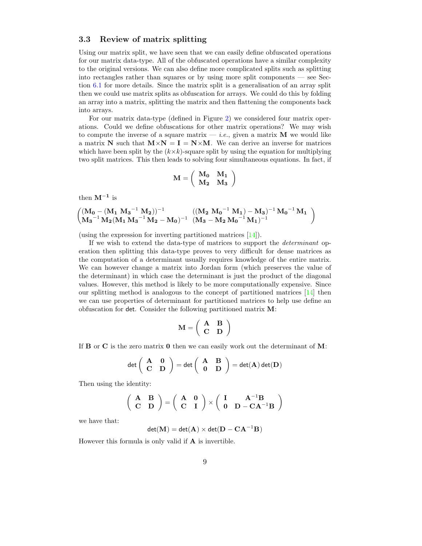### <span id="page-9-0"></span>3.3 Review of matrix splitting

Using our matrix split, we have seen that we can easily define obfuscated operations for our matrix data-type. All of the obfuscated operations have a similar complexity to the original versions. We can also define more complicated splits such as splitting into rectangles rather than squares or by using more split components — see Section [6.1](#page-24-0) for more details. Since the matrix split is a generalisation of an array split then we could use matrix splits as obfuscation for arrays. We could do this by folding an array into a matrix, splitting the matrix and then flattening the components back into arrays.

For our matrix data-type (defined in Figure [2\)](#page-5-0) we considered four matrix operations. Could we define obfuscations for other matrix operations? We may wish to compute the inverse of a square matrix  $-$  *i.e.*, given a matrix **M** we would like a matrix N such that  $M \times N = I = N \times M$ . We can derive an inverse for matrices which have been split by the  $(k \times k)$ -square split by using the equation for multiplying two split matrices. This then leads to solving four simultaneous equations. In fact, if

$$
\mathbf{M} = \left( \begin{array}{cc} \mathbf{M_0} & \mathbf{M_1} \\ \mathbf{M_2} & \mathbf{M_3} \end{array} \right)
$$

then  $M^{-1}$  is

$$
\left(\hspace{-0.5em}\begin{array}{cc} (M_0 - (M_1\ M_3^{-1}\ M_2))^{-1} & ((M_2\ M_0^{-1}\ M_1) - M_3)^{-1}\ M_0^{-1}\ M_1 \\ M_3^{-1}\ M_2 (M_1\ M_3^{-1}\ M_2 - M_0)^{-1} & (M_3 - M_2\ M_0^{-1}\ M_1)^{-1} \end{array}\hspace{-0.5em}\right)
$$

(using the expression for inverting partitioned matrices [\[14\]](#page-28-2)).

If we wish to extend the data-type of matrices to support the determinant operation then splitting this data-type proves to very difficult for dense matrices as the computation of a determinant usually requires knowledge of the entire matrix. We can however change a matrix into Jordan form (which preserves the value of the determinant) in which case the determinant is just the product of the diagonal values. However, this method is likely to be more computationally expensive. Since our splitting method is analogous to the concept of partitioned matrices [\[14\]](#page-28-2) then we can use properties of determinant for partitioned matrices to help use define an obfuscation for det. Consider the following partitioned matrix M:

$$
\mathbf{M} = \left( \begin{array}{cc} \mathbf{A} & \mathbf{B} \\ \mathbf{C} & \mathbf{D} \end{array} \right)
$$

If **B** or **C** is the zero matrix **0** then we can easily work out the determinant of  $M$ :

$$
\det\left(\begin{array}{cc} \mathbf{A} & \mathbf{0} \\ \mathbf{C} & \mathbf{D} \end{array}\right) = \det\left(\begin{array}{cc} \mathbf{A} & \mathbf{B} \\ \mathbf{0} & \mathbf{D} \end{array}\right) = \det(\mathbf{A}) \det(\mathbf{D})
$$

Then using the identity:

$$
\left(\begin{array}{cc}\mathbf{A} & \mathbf{B} \\ \mathbf{C} & \mathbf{D}\end{array}\right)=\left(\begin{array}{cc}\mathbf{A} & \mathbf{0} \\ \mathbf{C} & \mathbf{I}\end{array}\right)\times\left(\begin{array}{cc}\mathbf{I} & \mathbf{A}^{-1}\mathbf{B} \\ \mathbf{0} & \mathbf{D}-\mathbf{C}\mathbf{A}^{-1}\mathbf{B}\end{array}\right)
$$

we have that:

$$
\text{det}(\mathbf{M})=\text{det}(\mathbf{A})\times\text{det}(\mathbf{D}-\mathbf{C}\mathbf{A}^{-1}\mathbf{B})
$$

However this formula is only valid if A is invertible.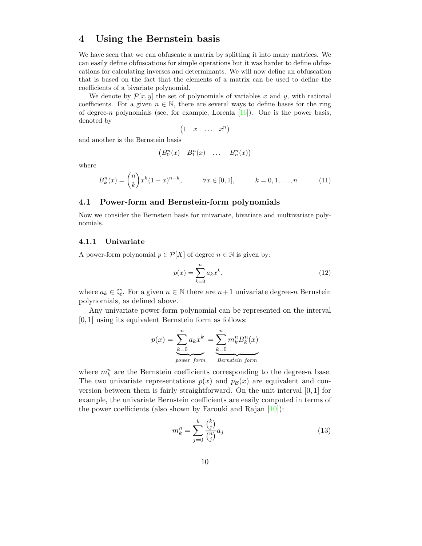# 4 Using the Bernstein basis

We have seen that we can obfuscate a matrix by splitting it into many matrices. We can easily define obfuscations for simple operations but it was harder to define obfuscations for calculating inverses and determinants. We will now define an obfuscation that is based on the fact that the elements of a matrix can be used to define the coefficients of a bivariate polynomial.

We denote by  $\mathcal{P}[x, y]$  the set of polynomials of variables x and y, with rational coefficients. For a given  $n \in \mathbb{N}$ , there are several ways to define bases for the ring of degree-n polynomials (see, for example, Lorentz  $[16]$ ). One is the power basis, denoted by

$$
\begin{pmatrix} 1 & x & \dots & x^n \end{pmatrix}
$$

and another is the Bernstein basis

$$
(B_0^n(x) \quad B_1^n(x) \quad \dots \quad B_n^n(x))
$$

where

$$
B_k^n(x) = \binom{n}{k} x^k (1-x)^{n-k}, \qquad \forall x \in [0,1], \qquad k = 0, 1, \dots, n \tag{11}
$$

#### 4.1 Power-form and Bernstein-form polynomials

Now we consider the Bernstein basis for univariate, bivariate and multivariate polynomials.

#### 4.1.1 Univariate

<span id="page-10-0"></span>A power-form polynomial  $p \in \mathcal{P}[X]$  of degree  $n \in \mathbb{N}$  is given by:

$$
p(x) = \sum_{k=0}^{n} a_k x^k,
$$
\n(12)

where  $a_k \in \mathbb{Q}$ . For a given  $n \in \mathbb{N}$  there are  $n+1$  univariate degree-n Bernstein polynomials, as defined above.

Any univariate power-form polynomial can be represented on the interval [0, 1] using its equivalent Bernstein form as follows:

$$
p(x) = \sum_{k=0}^{n} a_k x^k = \sum_{k=0}^{n} m_k^{n} B_k^{n}(x)
$$
  
power form Bernstein form

where  $m_k^n$  are the Bernstein coefficients corresponding to the degree-n base. The two univariate representations  $p(x)$  and  $p(x)$  are equivalent and conversion between them is fairly straightforward. On the unit interval [0, 1] for example, the univariate Bernstein coefficients are easily computed in terms of the power coefficients (also shown by Farouki and Rajan  $[10]$ ):

<span id="page-10-1"></span>
$$
m_k^n = \sum_{j=0}^k \frac{\binom{k}{j}}{\binom{n}{j}} a_j \tag{13}
$$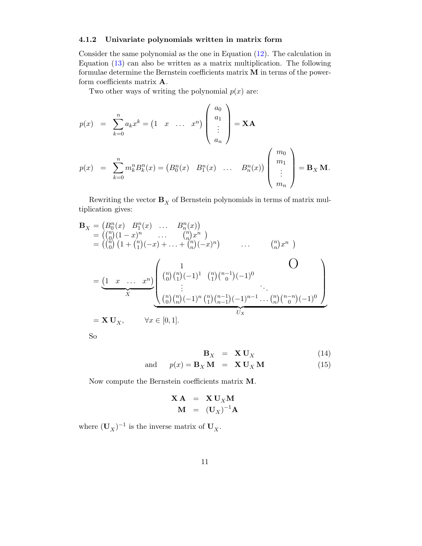### <span id="page-11-0"></span>4.1.2 Univariate polynomials written in matrix form

Consider the same polynomial as the one in Equation [\(12\)](#page-10-0). The calculation in Equation [\(13\)](#page-10-1) can also be written as a matrix multiplication. The following formulae determine the Bernstein coefficients matrix M in terms of the powerform coefficients matrix A.

Two other ways of writing the polynomial  $p(x)$  are:

$$
p(x) = \sum_{k=0}^{n} a_k x^k = (1 \ x \ \dots \ x^n) \begin{pmatrix} a_0 \\ a_1 \\ \vdots \\ a_n \end{pmatrix} = \mathbf{X} \mathbf{A}
$$
  

$$
p(x) = \sum_{k=0}^{n} m_k^n B_k^n(x) = (B_0^n(x) \ B_1^n(x) \ \dots \ B_n^n(x)) \begin{pmatrix} m_0 \\ m_1 \\ \vdots \\ m_n \end{pmatrix} = \mathbf{B}_X \mathbf{M}.
$$

Rewriting the vector  $\mathbf{B}_X$  of Bernstein polynomials in terms of matrix multiplication gives:

$$
\mathbf{B}_{X} = (B_{0}^{n}(x) B_{1}^{n}(x) \dots B_{n}^{n}(x))
$$
\n
$$
= \begin{pmatrix} {n \choose 0} (1-x)^{n} & \dots & {n \choose n} x^{n} \\ {n \choose 0} (1 + {n \choose 1} (-x) + \dots + {n \choose n} (-x)^{n}) & \dots & {n \choose n} x^{n} \end{pmatrix}
$$
\n
$$
= \underbrace{(1 \ x \ \dots \ x^{n})}_{X} \underbrace{\begin{pmatrix} 1 \\ {n \choose 0} {n \choose 1} (-1)^{1} {n \choose 1} {n-1 \choose 0} (-1)^{0} \\ \vdots & \vdots \\ {n \choose 0} {n \choose n} (-1)^{n} {n \choose 1} {n-1 \choose n-1} (-1)^{n-1} \dots {n \choose n} {n-n \choose 0} (-1)^{0} \\ \vdots & \vdots \\ {n \choose 0} {n \choose n} (-1)^{n} {n \choose 1} {n-1 \choose n-1} (-1)^{n-1} \dots {n \choose n} {n-n \choose 0} (-1)^{0} \end{pmatrix}}_{U_{X}}
$$
\n
$$
= \mathbf{X} \mathbf{U}_{X}, \qquad \forall x \in [0, 1].
$$

So

<span id="page-11-1"></span>
$$
\mathbf{B}_{X} = \mathbf{X} \mathbf{U}_{X}
$$
  
and  $p(x) = \mathbf{B}_{X} \mathbf{M} = \mathbf{X} \mathbf{U}_{X} \mathbf{M}$  (14)

Now compute the Bernstein coefficients matrix M.

$$
\mathbf{X} \mathbf{A} = \mathbf{X} \mathbf{U}_X \mathbf{M}
$$

$$
\mathbf{M} = (\mathbf{U}_X)^{-1} \mathbf{A}
$$

where  $(\mathbf{U}_X)^{-1}$  is the inverse matrix of  $\mathbf{U}_X$ .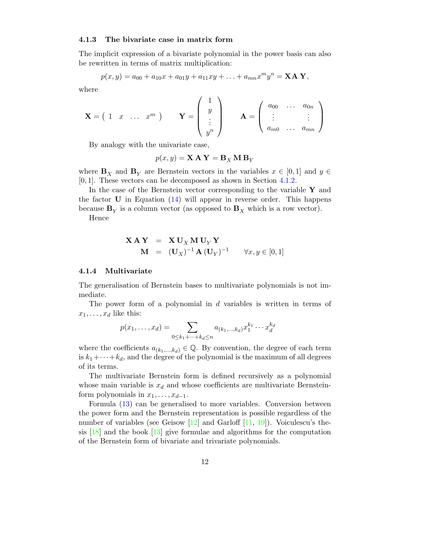#### <span id="page-12-0"></span>4.1.3 The bivariate case in matrix form

The implicit expression of a bivariate polynomial in the power basis can also be rewritten in terms of matrix multiplication:

$$
p(x,y) = a_{00} + a_{10}x + a_{01}y + a_{11}xy + \ldots + a_{mn}x^m y^n = \mathbf{XAY},
$$

where

$$
\mathbf{X} = \begin{pmatrix} 1 & x & \dots & x^m \end{pmatrix} \qquad \mathbf{Y} = \begin{pmatrix} 1 \\ y \\ \vdots \\ y^n \end{pmatrix} \qquad \mathbf{A} = \begin{pmatrix} a_{00} & \dots & a_{0n} \\ \vdots & & \vdots \\ a_{m0} & \dots & a_{mn} \end{pmatrix}
$$

By analogy with the univariate case,

$$
p(x, y) = \mathbf{X} \mathbf{A} \mathbf{Y} = \mathbf{B}_X \mathbf{M} \mathbf{B}_Y
$$

where  $\mathbf{B}_X$  and  $\mathbf{B}_Y$  are Bernstein vectors in the variables  $x \in [0,1]$  and  $y \in$ [0, 1]. These vectors can be decomposed as shown in Section [4.1.2.](#page-11-0)

In the case of the Bernstein vector corresponding to the variable  $\mathbf Y$  and the factor  $\bf{U}$  in Equation [\(14\)](#page-11-1) will appear in reverse order. This happens because  $\mathbf{B}_Y$  is a column vector (as opposed to  $\mathbf{B}_X$  which is a row vector).

Hence

$$
\mathbf{X} \mathbf{A} \mathbf{Y} = \mathbf{X} \mathbf{U}_X \mathbf{M} \mathbf{U}_Y \mathbf{Y}
$$
  

$$
\mathbf{M} = (\mathbf{U}_X)^{-1} \mathbf{A} (\mathbf{U}_Y)^{-1} \qquad \forall x, y \in [0, 1]
$$

#### <span id="page-12-1"></span>4.1.4 Multivariate

The generalisation of Bernstein bases to multivariate polynomials is not immediate.

The power form of a polynomial in d variables is written in terms of  $x_1, \ldots, x_d$  like this:

$$
p(x_1, ..., x_d) = \sum_{0 \le k_1 + ... + k_d \le n} a_{(k_1, ..., k_d)} x_1^{k_1} \cdots x_d^{k_d}
$$

where the coefficients  $a_{(k_1,...,k_d)} \in \mathbb{Q}$ . By convention, the degree of each term is  $k_1+\cdots+k_d$ , and the degree of the polynomial is the maximum of all degrees of its terms.

The multivariate Bernstein form is defined recursively as a polynomial whose main variable is  $x_d$  and whose coefficients are multivariate Bernsteinform polynomials in  $x_1, \ldots, x_{d-1}$ .

Formula [\(13\)](#page-10-1) can be generalised to more variables. Conversion between the power form and the Bernstein representation is possible regardless of the number of variables (see Geisow [\[12\]](#page-28-5) and Garloff [\[11,](#page-28-6) [19\]](#page-28-7)). Voiculescu's thesis  $[18]$  and the book  $[13]$  give formulae and algorithms for the computation of the Bernstein form of bivariate and trivariate polynomials.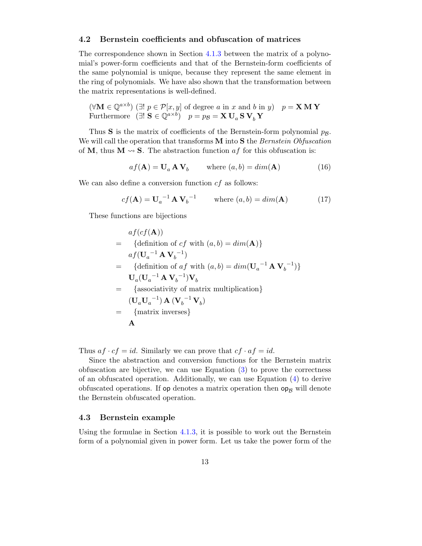#### <span id="page-13-0"></span>4.2 Bernstein coefficients and obfuscation of matrices

The correspondence shown in Section [4.1.3](#page-12-0) between the matrix of a polynomial's power-form coefficients and that of the Bernstein-form coefficients of the same polynomial is unique, because they represent the same element in the ring of polynomials. We have also shown that the transformation between the matrix representations is well-defined.

 $(\forall \mathbf{M} \in \mathbb{Q}^{a \times b})$  ( $\exists ! \ p \in \mathcal{P}[x, y]$  of degree a in x and b in y)  $p = \mathbf{X} \mathbf{M} \mathbf{Y}$ Furthermore  $(\exists ! \mathbf{S} \in \mathbb{Q}^{a \times b})$   $p = p_{\mathcal{B}} = \mathbf{X} \mathbf{U}_a \mathbf{S} \mathbf{V}_b \mathbf{Y}$ 

Thus **S** is the matrix of coefficients of the Bernstein-form polynomial  $p_B$ . We will call the operation that transforms  $\bf{M}$  into  $\bf{S}$  the *Bernstein Obfuscation* of M, thus  $M \rightarrow S$ . The abstraction function af for this obfuscation is:

$$
af(\mathbf{A}) = \mathbf{U}_a \mathbf{A} \mathbf{V}_b \qquad \text{where } (a, b) = dim(\mathbf{A}) \tag{16}
$$

We can also define a conversion function  $cf$  as follows:

$$
cf(\mathbf{A}) = \mathbf{U}_a^{-1} \mathbf{A} \mathbf{V}_b^{-1} \qquad \text{where } (a, b) = dim(\mathbf{A}) \tag{17}
$$

These functions are bijections

$$
af(cf(\mathbf{A}))
$$
\n
$$
= \{ \text{definition of cf with } (a, b) = dim(\mathbf{A}) \}
$$
\n
$$
af(\mathbf{U}_a^{-1} \mathbf{A} \mathbf{V}_b^{-1})
$$
\n
$$
= \{ \text{definition of af with } (a, b) = dim(\mathbf{U}_a^{-1} \mathbf{A} \mathbf{V}_b^{-1}) \}
$$
\n
$$
\mathbf{U}_a(\mathbf{U}_a^{-1} \mathbf{A} \mathbf{V}_b^{-1}) \mathbf{V}_b
$$
\n
$$
= \{ \text{associativity of matrix multiplication} \}
$$
\n
$$
(\mathbf{U}_a \mathbf{U}_a^{-1}) \mathbf{A} (\mathbf{V}_b^{-1} \mathbf{V}_b)
$$
\n
$$
= \{ \text{matrix inverses} \}
$$
\n
$$
\mathbf{A}
$$

Thus  $af \cdot cf = id$ . Similarly we can prove that  $cf \cdot af = id$ .

Since the abstraction and conversion functions for the Bernstein matrix obfuscation are bijective, we can use Equation [\(3\)](#page-2-4) to prove the correctness of an obfuscated operation. Additionally, we can use Equation [\(4\)](#page-2-3) to derive obfuscated operations. If  $op$  denotes a matrix operation then  $op_B$  will denote the Bernstein obfuscated operation.

### 4.3 Bernstein example

Using the formulae in Section [4.1.3,](#page-12-0) it is possible to work out the Bernstein form of a polynomial given in power form. Let us take the power form of the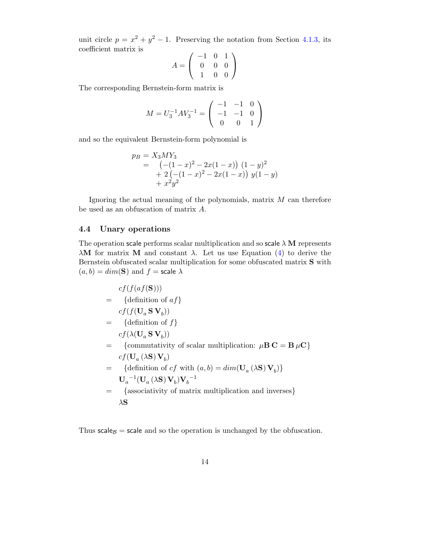unit circle  $p = x^2 + y^2 - 1$ . Preserving the notation from Section [4.1.3,](#page-12-0) its coefficient matrix is

$$
A = \left(\begin{array}{rrr} -1 & 0 & 1 \\ 0 & 0 & 0 \\ 1 & 0 & 0 \end{array}\right)
$$

The corresponding Bernstein-form matrix is

$$
M = U_3^{-1} A V_3^{-1} = \begin{pmatrix} -1 & -1 & 0 \\ -1 & -1 & 0 \\ 0 & 0 & 1 \end{pmatrix}
$$

and so the equivalent Bernstein-form polynomial is

$$
p_B = X_3 M Y_3
$$
  
=  $\begin{pmatrix} -(1-x)^2 - 2x(1-x) & (1-y)^2 \\ + 2(- (1-x)^2 - 2x(1-x) & y(1-y) \\ + x^2 y^2 & \end{pmatrix}$ 

Ignoring the actual meaning of the polynomials, matrix  $M$  can therefore be used as an obfuscation of matrix A.

### <span id="page-14-0"></span>4.4 Unary operations

The operation scale performs scalar multiplication and so scale  $\lambda$  M represents  $\lambda$ **M** for matrix **M** and constant  $\lambda$ . Let us use Equation [\(4\)](#page-2-3) to derive the Bernstein obfuscated scalar multiplication for some obfuscated matrix S with  $(a, b) = dim(S)$  and  $f = scale \lambda$ 

$$
cf(f(af(S)))
$$
\n
$$
= \{definition of af\}
$$
\n
$$
cf(f(U_a S V_b))
$$
\n
$$
= \{definition of f\}
$$
\n
$$
cf(\lambda(U_a S V_b))
$$
\n
$$
= \{commutativity of scalar multiplication: \mu B C = B \mu C\}
$$
\n
$$
cf(U_a(\lambda S) V_b)
$$
\n
$$
= \{definition of cf with (a, b) = dim(U_a(\lambda S) V_b)\}
$$
\n
$$
U_a^{-1}(U_a(\lambda S) V_b)V_b^{-1}
$$
\n
$$
= \{associativity of matrix multiplication and inverses\}
$$
\n
$$
\lambda S
$$

Thus scale $\beta$  = scale and so the operation is unchanged by the obfuscation.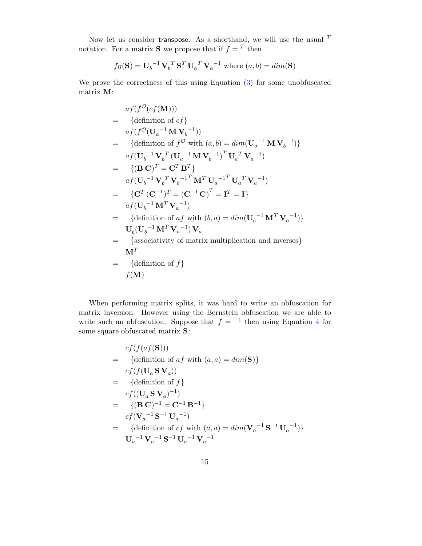Now let us consider transpose. As a shorthand, we will use the usual  $^T$ notation. For a matrix **S** we propose that if  $f = T$  then

$$
f_{\mathcal{B}}(\mathbf{S}) = \mathbf{U}_b^{-1} \mathbf{V}_b^T \mathbf{S}^T \mathbf{U}_a^T \mathbf{V}_a^{-1}
$$
 where  $(a, b) = dim(\mathbf{S})$ 

We prove the correctness of this using Equation [\(3\)](#page-2-4) for some unobfuscated matrix M:

$$
af(f^{\mathcal{O}}(cf(\mathbf{M})))
$$
\n
$$
= \{ \text{definition of } cf \}
$$
\n
$$
af(f^{\mathcal{O}}(\mathbf{U}_{a}^{-1}\mathbf{M}\mathbf{V}_{b}^{-1}))
$$
\n
$$
= \{ \text{definition of } f^{\mathcal{O}} \text{ with } (a,b) = dim(\mathbf{U}_{a}^{-1}\mathbf{M}\mathbf{V}_{b}^{-1}) \}
$$
\n
$$
af(\mathbf{U}_{b}^{-1}\mathbf{V}_{b}^{T}(\mathbf{U}_{a}^{-1}\mathbf{M}\mathbf{V}_{b}^{-1})^{T}\mathbf{U}_{a}^{T}\mathbf{V}_{a}^{-1})
$$
\n
$$
= \{ (\mathbf{B}\mathbf{C})^{T} = \mathbf{C}^{T}\mathbf{B}^{T} \}
$$
\n
$$
af(\mathbf{U}_{b}^{-1}\mathbf{V}_{b}^{T}\mathbf{V}_{b}^{-1^{T}\mathbf{M}^{T}\mathbf{U}_{a}^{-1^{T}\mathbf{U}_{a}^{T}\mathbf{V}_{a}^{-1})}
$$
\n
$$
= \{ \mathbf{C}^{T}(\mathbf{C}^{-1})^{T} = (\mathbf{C}^{-1}\mathbf{C})^{T} = \mathbf{I}^{T} = \mathbf{I} \}
$$
\n
$$
af(\mathbf{U}_{b}^{-1}\mathbf{M}^{T}\mathbf{V}_{a}^{-1})
$$
\n
$$
= \{ \text{definition of } af \text{ with } (b,a) = dim(\mathbf{U}_{b}^{-1}\mathbf{M}^{T}\mathbf{V}_{a}^{-1}) \}
$$
\n
$$
\mathbf{U}_{b}(\mathbf{U}_{b}^{-1}\mathbf{M}^{T}\mathbf{V}_{a}^{-1}) \mathbf{V}_{a}
$$
\n
$$
= \{ \text{associativity of matrix multiplication and inverses} \}
$$
\n
$$
\mathbf{M}^{T}
$$
\n
$$
= \{ \text{definition of } f \}
$$
\n
$$
f(\mathbf{M})
$$

When performing matrix splits, it was hard to write an obfuscation for matrix inversion. However using the Bernstein obfuscation we are able to write such an obfuscation. Suppose that  $f = -1$  then using Equation [4](#page-2-3) for some square obfuscated matrix **S**:

$$
cf(f(af(S)))
$$
\n
$$
= \{definition of af with (a, a) = dim(S)\}
$$
\n
$$
cf(f(U_a S V_a))
$$
\n
$$
= \{definition of f\}
$$
\n
$$
cf((U_a S V_a)^{-1})
$$
\n
$$
= \{ (B C)^{-1} = C^{-1} B^{-1} \}
$$
\n
$$
cf(V_a^{-1} S^{-1} U_a^{-1})
$$
\n
$$
= \{definition of cf with (a, a) = dim(V_a^{-1} S^{-1} U_a^{-1}) \}
$$
\n
$$
U_a^{-1} V_a^{-1} S^{-1} U_a^{-1} V_a^{-1}
$$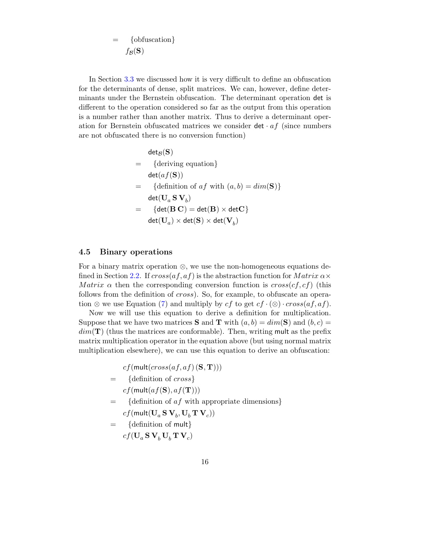$$
= \{ \text{obfuscation} \}
$$

$$
f_{\mathcal{B}}(\mathbf{S})
$$

In Section [3.3](#page-9-0) we discussed how it is very difficult to define an obfuscation for the determinants of dense, split matrices. We can, however, define determinants under the Bernstein obfuscation. The determinant operation det is different to the operation considered so far as the output from this operation is a number rather than another matrix. Thus to derive a determinant operation for Bernstein obfuscated matrices we consider  $det \cdot af$  (since numbers are not obfuscated there is no conversion function)

$$
det_{\mathcal{B}}(\mathbf{S})
$$
\n
$$
= \{deriving equation\}
$$
\n
$$
det(af(\mathbf{S}))
$$
\n
$$
= \{definition of af with (a, b) = dim(\mathbf{S})\}
$$
\n
$$
det(\mathbf{U}_a \mathbf{S} \mathbf{V}_b)
$$
\n
$$
= \{det(\mathbf{B} \mathbf{C}) = det(\mathbf{B}) \times det(\mathbf{V}_b) \}
$$

#### <span id="page-16-0"></span>4.5 Binary operations

For a binary matrix operation ⊗, we use the non-homogeneous equations de-fined in Section [2.2.](#page-3-2) If  $cross(af, af)$  is the abstraction function for  $Matrix \alpha \times$ Matrix  $\alpha$  then the corresponding conversion function is  $cross(cf, cf)$  (this follows from the definition of cross). So, for example, to obfuscate an opera-tion ⊗ we use Equation [\(7\)](#page-3-3) and multiply by cf to get  $cf \cdot (\otimes) \cdot cross(af, af)$ .

Now we will use this equation to derive a definition for multiplication. Suppose that we have two matrices **S** and **T** with  $(a, b) = dim(\mathbf{S})$  and  $(b, c) =$  $dim(\mathbf{T})$  (thus the matrices are conformable). Then, writing mult as the prefix matrix multiplication operator in the equation above (but using normal matrix multiplication elsewhere), we can use this equation to derive an obfuscation:

> $cf$ (mult( $cross(af, af)$  (S, T)))  $=$  {definition of *cross*}  $cf$ (mult $(af(S), af(T))$ )  $=$  {definition of *af* with appropriate dimensions}  $cf(\mathsf{mult}(\mathbf{U}_a\,\mathbf{S}\,\mathbf{V}_b,\mathbf{U}_b\,\mathbf{T}\,\mathbf{V}_c))$ = {definition of mult}  $cf(\mathbf{U}_a \, \mathbf{S} \, \mathbf{V}_b \, \mathbf{U}_b \, \mathbf{T} \, \mathbf{V}_c)$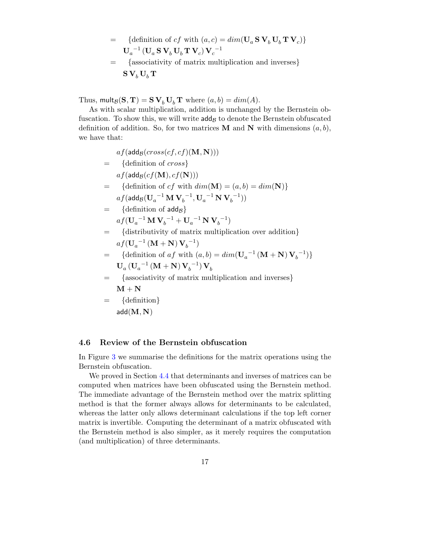- = {definition of cf with  $(a, c) = dim(\mathbf{U}_a \mathbf{S} \mathbf{V}_b \mathbf{U}_b \mathbf{T} \mathbf{V}_c)$ }  $\mathbf{U}_a^{-1} \left( \mathbf{U}_a \, \mathbf{S} \, \mathbf{V}_b \, \mathbf{U}_b \, \mathbf{T} \, \mathbf{V}_c \right) \mathbf{V}_c^{-1}$
- = {associativity of matrix multiplication and inverses}  $S V_b U_b T$

Thus,  $\text{mult}_{\mathcal{B}}(\mathbf{S}, \mathbf{T}) = \mathbf{S} \mathbf{V}_b \mathbf{U}_b \mathbf{T}$  where  $(a, b) = dim(A)$ .

As with scalar multiplication, addition is unchanged by the Bernstein obfuscation. To show this, we will write  $\operatorname{\sf add}_{\mathcal B}$  to denote the Bernstein obfuscated definition of addition. So, for two matrices **M** and **N** with dimensions  $(a, b)$ , we have that:

$$
af(\text{add}_{\mathcal{B}}(cross(cf, cf)(\mathbf{M}, \mathbf{N})))
$$
\n
$$
= \{ \text{definition of cross} \}
$$
\n
$$
af(\text{add}_{\mathcal{B}}(cf(\mathbf{M}), cf(\mathbf{N})))
$$
\n
$$
= \{ \text{definition of cf with } dim(\mathbf{M}) = (a, b) = dim(\mathbf{N}) \}
$$
\n
$$
af(\text{add}_{\mathcal{B}}(\mathbf{U}_{a}^{-1}\mathbf{M}\mathbf{V}_{b}^{-1}, \mathbf{U}_{a}^{-1}\mathbf{N}\mathbf{V}_{b}^{-1}))
$$
\n
$$
= \{ \text{definition of } \text{add}_{\mathcal{B}} \}
$$
\n
$$
af(\mathbf{U}_{a}^{-1}\mathbf{M}\mathbf{V}_{b}^{-1} + \mathbf{U}_{a}^{-1}\mathbf{N}\mathbf{V}_{b}^{-1})
$$
\n
$$
= \{ \text{distributivity of matrix multiplication over addition} \}
$$
\n
$$
af(\mathbf{U}_{a}^{-1}(\mathbf{M} + \mathbf{N})\mathbf{V}_{b}^{-1})
$$
\n
$$
= \{ \text{definition of } af \text{ with } (a, b) = dim(\mathbf{U}_{a}^{-1}(\mathbf{M} + \mathbf{N})\mathbf{V}_{b}^{-1}) \}
$$
\n
$$
= \{ \text{associativity of matrix multiplication and inverses} \}
$$
\n
$$
\mathbf{M} + \mathbf{N}
$$
\n
$$
= \{ \text{definition} \}
$$
\n
$$
add(\mathbf{M}, \mathbf{N})
$$

## <span id="page-17-0"></span>4.6 Review of the Bernstein obfuscation

In Figure [3](#page-18-0) we summarise the definitions for the matrix operations using the Bernstein obfuscation.

We proved in Section [4.4](#page-14-0) that determinants and inverses of matrices can be computed when matrices have been obfuscated using the Bernstein method. The immediate advantage of the Bernstein method over the matrix splitting method is that the former always allows for determinants to be calculated, whereas the latter only allows determinant calculations if the top left corner matrix is invertible. Computing the determinant of a matrix obfuscated with the Bernstein method is also simpler, as it merely requires the computation (and multiplication) of three determinants.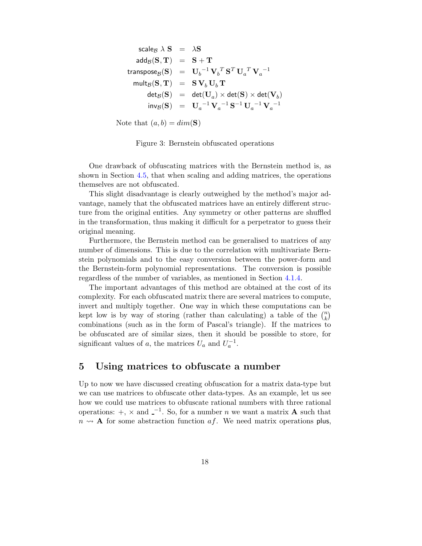$$
\begin{array}{rcl} \text{scale}_{\mathcal{B}} \; \lambda \; \mathbf{S} & = & \lambda \mathbf{S} \\[1ex] \mathrm{add}_{\mathcal{B}}(\mathbf{S}, \mathbf{T}) & = & \mathbf{S} + \mathbf{T} \\[1ex] \text{transpose}_{\mathcal{B}}(\mathbf{S}) & = & \mathbf{U}_b^{-1} \mathbf{V}_b^T \mathbf{S}^T \mathbf{U}_a^T \mathbf{V}_a^{-1} \\[1ex] \text{mult}_{\mathcal{B}}(\mathbf{S}, \mathbf{T}) & = & \mathbf{S} \mathbf{V}_b \mathbf{U}_b \mathbf{T} \\[1ex] \mathrm{det}_{\mathcal{B}}(\mathbf{S}) & = & \mathrm{det}(\mathbf{U}_a) \times \mathrm{det}(\mathbf{S}) \times \mathrm{det}(\mathbf{V}_b) \\[1ex] \mathrm{inv}_{\mathcal{B}}(\mathbf{S}) & = & \mathbf{U}_a^{-1} \mathbf{V}_a^{-1} \mathbf{S}^{-1} \mathbf{U}_a^{-1} \mathbf{V}_a^{-1} \end{array}
$$

Note that  $(a, b) = dim(\mathbf{S})$ 

<span id="page-18-0"></span>Figure 3: Bernstein obfuscated operations

One drawback of obfuscating matrices with the Bernstein method is, as shown in Section [4.5,](#page-16-0) that when scaling and adding matrices, the operations themselves are not obfuscated.

This slight disadvantage is clearly outweighed by the method's major advantage, namely that the obfuscated matrices have an entirely different structure from the original entities. Any symmetry or other patterns are shuffled in the transformation, thus making it difficult for a perpetrator to guess their original meaning.

Furthermore, the Bernstein method can be generalised to matrices of any number of dimensions. This is due to the correlation with multivariate Bernstein polynomials and to the easy conversion between the power-form and the Bernstein-form polynomial representations. The conversion is possible regardless of the number of variables, as mentioned in Section [4.1.4.](#page-12-1)

The important advantages of this method are obtained at the cost of its complexity. For each obfuscated matrix there are several matrices to compute, invert and multiply together. One way in which these computations can be kept low is by way of storing (rather than calculating) a table of the  $\binom{n}{k}$  $\binom{n}{k}$ combinations (such as in the form of Pascal's triangle). If the matrices to be obfuscated are of similar sizes, then it should be possible to store, for significant values of a, the matrices  $U_a$  and  $U_a^{-1}$ .

## 5 Using matrices to obfuscate a number

Up to now we have discussed creating obfuscation for a matrix data-type but we can use matrices to obfuscate other data-types. As an example, let us see how we could use matrices to obfuscate rational numbers with three rational operations:  $+$ ,  $\times$  and  $-$ <sup>1</sup>. So, for a number *n* we want a matrix **A** such that  $n \rightarrow A$  for some abstraction function af. We need matrix operations plus,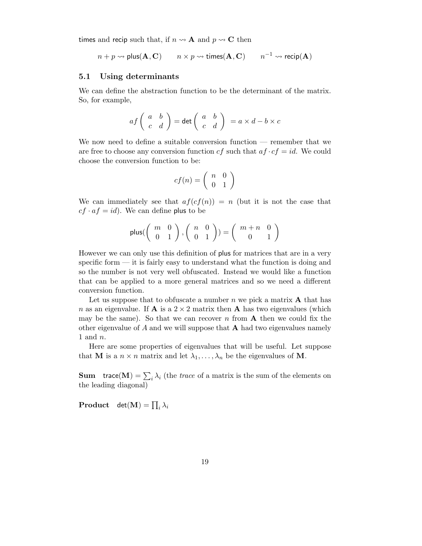times and recip such that, if  $n \rightarrow A$  and  $p \rightarrow C$  then

$$
n + p \rightsquigarrow \mathsf{plus}(\mathbf{A}, \mathbf{C}) \qquad n \times p \rightsquigarrow \mathsf{times}(\mathbf{A}, \mathbf{C}) \qquad n^{-1} \rightsquigarrow \mathsf{recip}(\mathbf{A})
$$

#### <span id="page-19-0"></span>5.1 Using determinants

We can define the abstraction function to be the determinant of the matrix. So, for example,

$$
af\left(\begin{array}{cc} a & b \\ c & d \end{array}\right) = \det\left(\begin{array}{cc} a & b \\ c & d \end{array}\right) = a \times d - b \times c
$$

We now need to define a suitable conversion function — remember that we are free to choose any conversion function  $cf$  such that  $af \cdot cf = id$ . We could choose the conversion function to be:

$$
cf(n) = \left(\begin{array}{cc} n & 0 \\ 0 & 1 \end{array}\right)
$$

We can immediately see that  $af(cf(n)) = n$  (but it is not the case that  $cf \cdot af = id$ . We can define plus to be

$$
\mathsf{plus}(\left(\begin{array}{cc} m & 0 \\ 0 & 1 \end{array}\right), \left(\begin{array}{cc} n & 0 \\ 0 & 1 \end{array}\right)) = \left(\begin{array}{cc} m+n & 0 \\ 0 & 1 \end{array}\right)
$$

However we can only use this definition of plus for matrices that are in a very specific form — it is fairly easy to understand what the function is doing and so the number is not very well obfuscated. Instead we would like a function that can be applied to a more general matrices and so we need a different conversion function.

Let us suppose that to obfuscate a number  $n$  we pick a matrix  $\bf{A}$  that has n as an eigenvalue. If **A** is a  $2 \times 2$  matrix then **A** has two eigenvalues (which may be the same). So that we can recover n from  $A$  then we could fix the other eigenvalue of  $A$  and we will suppose that  $A$  had two eigenvalues namely 1 and n.

Here are some properties of eigenvalues that will be useful. Let suppose that **M** is a  $n \times n$  matrix and let  $\lambda_1, \ldots, \lambda_n$  be the eigenvalues of **M**.

**Sum** trace(M) =  $\sum_i \lambda_i$  (the *trace* of a matrix is the sum of the elements on the leading diagonal)

 $\textbf{Product} \quad \det(\textbf{M}) = \prod_i \lambda_i$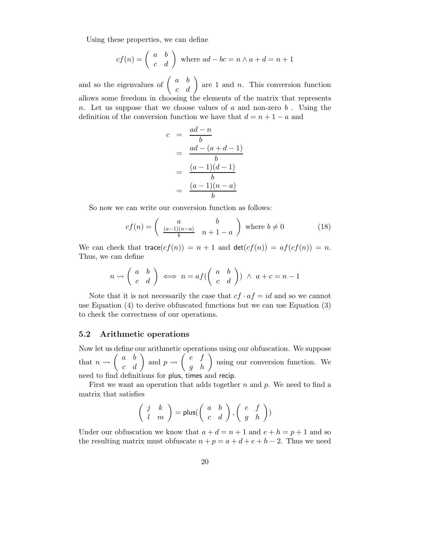Using these properties, we can define

$$
cf(n) = \begin{pmatrix} a & b \\ c & d \end{pmatrix}
$$
 where  $ad - bc = n \wedge a + d = n + 1$ 

and so the eigenvalues of  $\begin{pmatrix} a & b \\ c & d \end{pmatrix}$  are 1 and *n*. This conversion function allows some freedom in choosing the elements of the matrix that represents n. Let us suppose that we choose values of a and non-zero  $b$ . Using the definition of the conversion function we have that  $d = n + 1 - a$  and

$$
c = \frac{ad - n}{b}
$$
  
= 
$$
\frac{ad - (a + d - 1)}{b}
$$
  
= 
$$
\frac{(a - 1)(d - 1)}{b}
$$
  
= 
$$
\frac{(a - 1)(n - a)}{b}
$$

So now we can write our conversion function as follows:

$$
cf(n) = \begin{pmatrix} a & b \\ \frac{(a-1)(n-a)}{b} & n+1-a \end{pmatrix} \text{ where } b \neq 0 \tag{18}
$$

We can check that trace $(cf(n)) = n + 1$  and  $det(cf(n)) = af(cf(n)) = n$ . Thus, we can define

$$
n \rightsquigarrow \begin{pmatrix} a & b \\ c & d \end{pmatrix} \iff n = af(\begin{pmatrix} a & b \\ c & d \end{pmatrix}) \land a + c = n - 1
$$

Note that it is not necessarily the case that  $cf \cdot af = id$  and so we cannot use Equation  $(4)$  to derive obfuscated functions but we can use Equation  $(3)$ to check the correctness of our operations.

#### <span id="page-20-0"></span>5.2 Arithmetic operations

Now let us define our arithmetic operations using our obfuscation. We suppose that  $n \rightsquigarrow \begin{pmatrix} a & b \\ c & d \end{pmatrix}$  and  $p \rightsquigarrow \begin{pmatrix} e & f \\ g & h \end{pmatrix}$  using our conversion function. We need to find definitions for plus, times and recip.

First we want an operation that adds together  $n$  and  $p$ . We need to find a matrix that satisfies

$$
\left(\begin{array}{cc}j & k \\ l & m\end{array}\right) = \text{plus}(\left(\begin{array}{cc}a & b \\ c & d\end{array}\right), \left(\begin{array}{cc}e & f \\ g & h\end{array}\right))
$$

Under our obfuscation we know that  $a + d = n + 1$  and  $e + h = p + 1$  and so the resulting matrix must obfuscate  $n + p = a + d + e + h - 2$ . Thus we need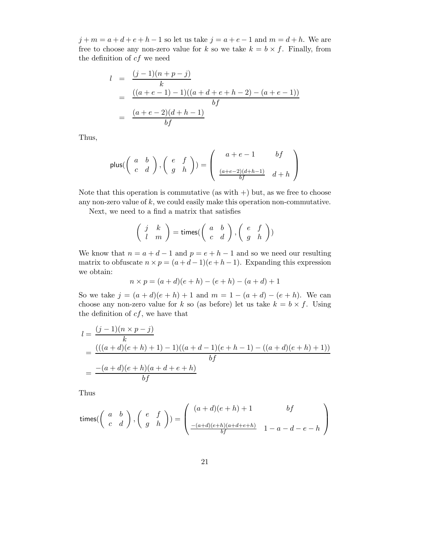$j + m = a + d + e + h - 1$  so let us take  $j = a + e - 1$  and  $m = d + h$ . We are free to choose any non-zero value for k so we take  $k = b \times f$ . Finally, from the definition of  $cf$  we need

$$
l = \frac{(j-1)(n+p-j)}{k}
$$
  
= 
$$
\frac{((a+e-1)-1)((a+d+e+h-2)-(a+e-1))}{bf}
$$
  
= 
$$
\frac{(a+e-2)(d+h-1)}{bf}
$$

Thus,

$$
\text{plus}(\left(\begin{array}{cc}a&b\\c&d\end{array}\right),\left(\begin{array}{cc}e&f\\g&h\end{array}\right))=\left(\begin{array}{cc}a+e-1&bf\\ \frac{(a+e-2)(d+h-1)}{bf}&d+h\end{array}\right)
$$

Note that this operation is commutative (as with  $+)$  but, as we free to choose any non-zero value of  $k$ , we could easily make this operation non-commutative.

Next, we need to a find a matrix that satisfies

$$
\left(\begin{array}{cc}j & k \\ l & m\end{array}\right)=\text{times}(\left(\begin{array}{cc}a & b \\ c & d\end{array}\right),\left(\begin{array}{cc}e & f \\ g & h\end{array}\right))
$$

We know that  $n = a + d - 1$  and  $p = e + h - 1$  and so we need our resulting matrix to obfuscate  $n \times p = (a+d-1)(e+h-1)$ . Expanding this expression we obtain:

$$
n \times p = (a+d)(e+h) - (e+h) - (a+d) + 1
$$

So we take  $j = (a + d)(e + h) + 1$  and  $m = 1 - (a + d) - (e + h)$ . We can choose any non-zero value for k so (as before) let us take  $k = b \times f$ . Using the definition of  $cf$ , we have that

$$
l = \frac{(j-1)(n \times p - j)}{k}
$$
  
= 
$$
\frac{(((a+d)(e+h)+1)-1)((a+d-1)(e+h-1)-((a+d)(e+h)+1))}{bf}
$$
  
= 
$$
\frac{-(a+d)(e+h)(a+d+e+h)}{bf}
$$

Thus

times(
$$
\begin{pmatrix} a & b \\ c & d \end{pmatrix}
$$
,  $\begin{pmatrix} e & f \\ g & h \end{pmatrix}$ ) =  $\begin{pmatrix} (a+d)(e+h)+1 & bf \\ \frac{-(a+d)(e+h)(a+d+e+h)}{bf} & 1-a-d-e-h \end{pmatrix}$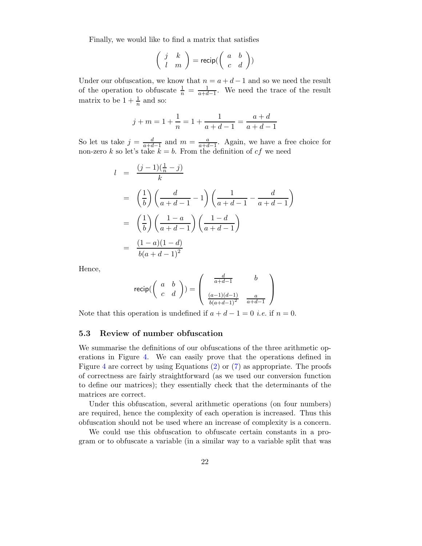Finally, we would like to find a matrix that satisfies

$$
\left(\begin{array}{cc}j & k \\ l & m\end{array}\right) = \text{recip}(\left(\begin{array}{cc}a & b \\ c & d\end{array}\right))
$$

Under our obfuscation, we know that  $n = a + d - 1$  and so we need the result of the operation to obfuscate  $\frac{1}{n} = \frac{1}{a+d-1}$ . We need the trace of the result matrix to be  $1 + \frac{1}{n}$  and so:

$$
j + m = 1 + \frac{1}{n} = 1 + \frac{1}{a + d - 1} = \frac{a + d}{a + d - 1}
$$

So let us take  $j = \frac{d}{a+d-1}$  and  $m = \frac{a}{a+d-1}$ . Again, we have a free choice for non-zero k so let's take  $k = b$ . From the definition of cf we need

$$
l = \frac{(j-1)(\frac{1}{n} - j)}{k}
$$
  
= 
$$
\left(\frac{1}{b}\right) \left(\frac{d}{a+d-1} - 1\right) \left(\frac{1}{a+d-1} - \frac{d}{a+d-1}\right)
$$
  
= 
$$
\left(\frac{1}{b}\right) \left(\frac{1-a}{a+d-1}\right) \left(\frac{1-d}{a+d-1}\right)
$$
  
= 
$$
\frac{(1-a)(1-d)}{b(a+d-1)^2}
$$

Hence,

$$
\text{recip}(\left(\begin{array}{cc} a & b \\ c & d \end{array}\right)) = \left(\begin{array}{cc} \frac{d}{a+d-1} & b \\ \frac{(a-1)(d-1)}{b(a+d-1)^2} & \frac{a}{a+d-1} \end{array}\right)
$$

Note that this operation is undefined if  $a + d - 1 = 0$  *i.e.* if  $n = 0$ .

## 5.3 Review of number obfuscation

We summarise the definitions of our obfuscations of the three arithmetic operations in Figure [4.](#page-23-0) We can easily prove that the operations defined in Figure [4](#page-23-0) are correct by using Equations [\(2\)](#page-2-2) or [\(7\)](#page-3-3) as appropriate. The proofs of correctness are fairly straightforward (as we used our conversion function to define our matrices); they essentially check that the determinants of the matrices are correct.

Under this obfuscation, several arithmetic operations (on four numbers) are required, hence the complexity of each operation is increased. Thus this obfuscation should not be used where an increase of complexity is a concern.

We could use this obfuscation to obfuscate certain constants in a program or to obfuscate a variable (in a similar way to a variable split that was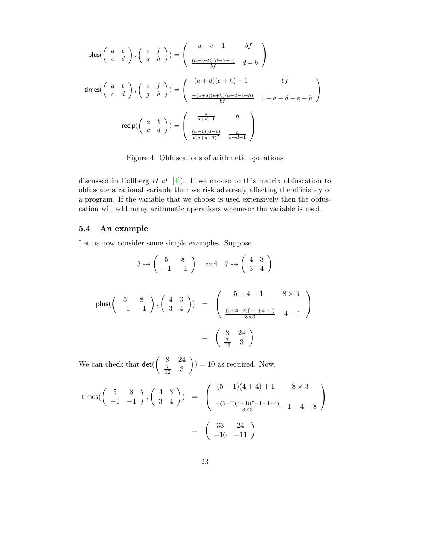$$
\text{plus}\left(\left(\begin{array}{cc} a & b \\ c & d \end{array}\right), \left(\begin{array}{cc} e & f \\ g & h \end{array}\right)\right) = \left(\begin{array}{cc} a+e-1 & bf \\ \frac{(a+e-2)(d+h-1)}{bf} & d+h \end{array}\right)
$$
\n
$$
\text{times}\left(\left(\begin{array}{cc} a & b \\ c & d \end{array}\right), \left(\begin{array}{cc} e & f \\ g & h \end{array}\right)\right) = \left(\begin{array}{cc} (a+d)(e+h)+1 & bf \\ \frac{-(a+d)(e+h)(a+d+e+h)}{bf} & 1-a-d-e-h \end{array}\right)
$$
\n
$$
\text{recip}\left(\left(\begin{array}{cc} a & b \\ c & d \end{array}\right)\right) = \left(\begin{array}{cc} \frac{d}{a+d-1} & b \\ \frac{(a-1)(d-1)}{b(a+d-1)^2} & \frac{a}{a+d-1} \end{array}\right)
$$

<span id="page-23-0"></span>Figure 4: Obfuscations of arithmetic operations

discussed in Collberg *et al.* [\[4\]](#page-27-0)). If we choose to this matrix obfuscation to obfuscate a rational variable then we risk adversely affecting the efficiency of a program. If the variable that we choose is used extensively then the obfuscation will add many arithmetic operations whenever the variable is used.

## 5.4 An example

Let us now consider some simple examples. Suppose

$$
3 \rightsquigarrow \begin{pmatrix} 5 & 8 \\ -1 & -1 \end{pmatrix} \text{ and } 7 \rightsquigarrow \begin{pmatrix} 4 & 3 \\ 3 & 4 \end{pmatrix}
$$
  
\n
$$
\text{plus}(\begin{pmatrix} 5 & 8 \\ -1 & -1 \end{pmatrix}, \begin{pmatrix} 4 & 3 \\ 3 & 4 \end{pmatrix}) = \begin{pmatrix} 5+4-1 & 8 \times 3 \\ \frac{(5+4-2)(-1+4-1)}{8 \times 3} & 4-1 \end{pmatrix}
$$
  
\n
$$
= \begin{pmatrix} 8 & 24 \\ \frac{7}{12} & 3 \end{pmatrix}
$$

We can check that det(  $\begin{pmatrix} 8 & 24 \end{pmatrix}$  $rac{7}{12}$  3  $\setminus$  $= 10$  as required. Now,

times(
$$
\begin{pmatrix} 5 & 8 \\ -1 & -1 \end{pmatrix}
$$
,  $\begin{pmatrix} 4 & 3 \\ 3 & 4 \end{pmatrix}$ ) =  $\begin{pmatrix} (5-1)(4+4)+1 & 8 \times 3 \\ \frac{-(5-1)(4+4)(5-1+4+4)}{8 \times 3} & 1-4-8 \end{pmatrix}$   
=  $\begin{pmatrix} 33 & 24 \\ -16 & -11 \end{pmatrix}$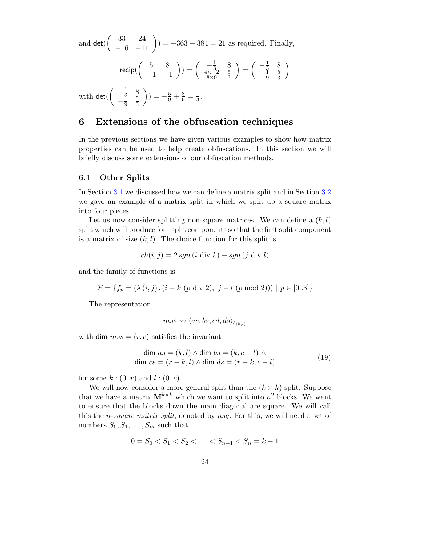and det(  $\begin{pmatrix} 33 & 24 \\ -16 & -11 \end{pmatrix}$  = -363 + 384 = 21 as required. Finally,

$$
\text{recip}\begin{pmatrix} 5 & 8 \ -1 & -1 \end{pmatrix} = \begin{pmatrix} -\frac{1}{3} & 8 \ \frac{4 \times -2}{8 \times 9} & \frac{5}{3} \end{pmatrix} = \begin{pmatrix} -\frac{1}{3} & 8 \ -\frac{1}{9} & \frac{5}{3} \end{pmatrix}
$$

with det(  $\begin{pmatrix} -\frac{1}{3} & 8 \\ 1 & 8 \end{pmatrix}$  $-\frac{1}{9}$ 9 5 3  $\setminus$  $) = -\frac{5}{9} + \frac{8}{9} = \frac{1}{3}$  $\frac{1}{3}$ .

# <span id="page-24-1"></span>6 Extensions of the obfuscation techniques

In the previous sections we have given various examples to show how matrix properties can be used to help create obfuscations. In this section we will briefly discuss some extensions of our obfuscation methods.

## <span id="page-24-0"></span>6.1 Other Splits

In Section [3.1](#page-5-3) we discussed how we can define a matrix split and in Section [3.2](#page-6-1) we gave an example of a matrix split in which we split up a square matrix into four pieces.

Let us now consider splitting non-square matrices. We can define a  $(k, l)$ split which will produce four split components so that the first split component is a matrix of size  $(k, l)$ . The choice function for this split is

$$
ch(i, j) = 2 sgn (i \text{ div } k) + sgn (j \text{ div } l)
$$

and the family of functions is

$$
\mathcal{F} = \{ f_p = (\lambda(i, j) \cdot (i - k \ (p \ \text{div } 2), \ j - l \ (p \ \text{mod } 2))) \mid p \in [0..3] \}
$$

The representation

$$
mss \leadsto \langle as,bs,cd,ds \rangle_{s_{(k,l)}}
$$

with dim  $mss = (r, c)$  satisfies the invariant

$$
\dim as = (k, l) \land \dim bs = (k, c - l) \land \n\dim cs = (r - k, l) \land \dim ds = (r - k, c - l)
$$
\n(19)

for some  $k : (0..r)$  and  $l : (0..c)$ .

We will now consider a more general split than the  $(k \times k)$  split. Suppose that we have a matrix  $M^{k \times k}$  which we want to split into  $n^2$  blocks. We want to ensure that the blocks down the main diagonal are square. We will call this the *n*-square matrix split, denoted by nsq. For this, we will need a set of numbers  $S_0, S_1, \ldots, S_m$  such that

$$
0 = S_0 < S_1 < S_2 < \ldots < S_{n-1} < S_n = k - 1
$$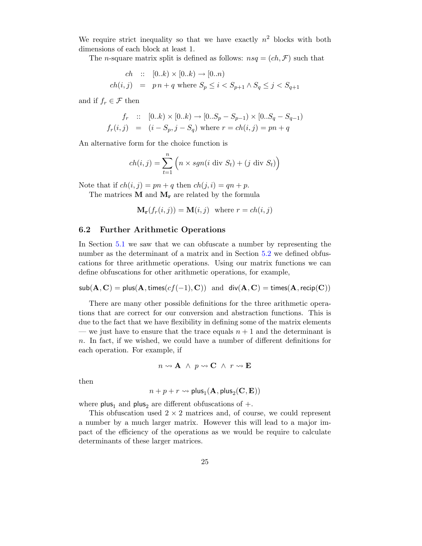We require strict inequality so that we have exactly  $n^2$  blocks with both dimensions of each block at least 1.

The *n*-square matrix split is defined as follows:  $nsq = (ch, \mathcal{F})$  such that

$$
ch :: [0..k) \times [0..k) \to [0..n)
$$
  

$$
ch(i,j) = pn + q \text{ where } S_p \le i < S_{p+1} \wedge S_q \le j < S_{q+1}
$$

and if  $f_r \in \mathcal{F}$  then

$$
f_r :: [0..k) \times [0..k) \to [0..S_p - S_{p-1}) \times [0..S_q - S_{q-1})
$$
  

$$
f_r(i,j) = (i - S_p, j - S_q) \text{ where } r = ch(i,j) = pn + q
$$

An alternative form for the choice function is

$$
ch(i, j) = \sum_{t=1}^{n} \left( n \times sgn(i \text{ div } S_t) + (j \text{ div } S_t) \right)
$$

Note that if  $ch(i, j) = pn + q$  then  $ch(j, i) = qn + p$ .

The matrices  $M$  and  $M_r$  are related by the formula

$$
\mathbf{M}_{\mathbf{r}}(f_r(i,j)) = \mathbf{M}(i,j) \text{ where } r = ch(i,j)
$$

#### 6.2 Further Arithmetic Operations

In Section [5.1](#page-19-0) we saw that we can obfuscate a number by representing the number as the determinant of a matrix and in Section  $5.2$  we defined obfuscations for three arithmetic operations. Using our matrix functions we can define obfuscations for other arithmetic operations, for example,

 $\mathsf{sub}(\mathbf{A}, \mathbf{C}) = \mathsf{plus}(\mathbf{A}, \mathsf{times}(cf(-1), \mathbf{C}))$  and  $\mathsf{div}(\mathbf{A}, \mathbf{C}) = \mathsf{times}(\mathbf{A}, \mathsf{recip}(\mathbf{C}))$ 

There are many other possible definitions for the three arithmetic operations that are correct for our conversion and abstraction functions. This is due to the fact that we have flexibility in defining some of the matrix elements — we just have to ensure that the trace equals  $n + 1$  and the determinant is n. In fact, if we wished, we could have a number of different definitions for each operation. For example, if

$$
n \leadsto \mathbf{A} \ \wedge \ p \leadsto \mathbf{C} \ \wedge \ r \leadsto \mathbf{E}
$$

then

$$
n+p+r \leadsto \mathsf{plus}_1(\mathbf{A},\mathsf{plus}_2(\mathbf{C},\mathbf{E}))
$$

where plus<sub>1</sub> and plus<sub>2</sub> are different obfuscations of  $+$ .

This obfuscation used  $2 \times 2$  matrices and, of course, we could represent a number by a much larger matrix. However this will lead to a major impact of the efficiency of the operations as we would be require to calculate determinants of these larger matrices.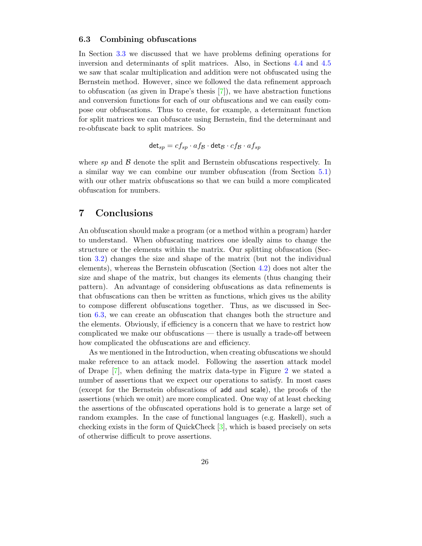#### <span id="page-26-0"></span>6.3 Combining obfuscations

In Section [3.3](#page-9-0) we discussed that we have problems defining operations for inversion and determinants of split matrices. Also, in Sections [4.4](#page-14-0) and [4.5](#page-16-0) we saw that scalar multiplication and addition were not obfuscated using the Bernstein method. However, since we followed the data refinement approach to obfuscation (as given in Drape's thesis [\[7\]](#page-27-2)), we have abstraction functions and conversion functions for each of our obfuscations and we can easily compose our obfuscations. Thus to create, for example, a determinant function for split matrices we can obfuscate using Bernstein, find the determinant and re-obfuscate back to split matrices. So

$$
\mathsf{det}_{sp} = c f_{sp} \cdot a f_{\mathcal{B}} \cdot \mathsf{det}_{\mathcal{B}} \cdot c f_{\mathcal{B}} \cdot a f_{sp}
$$

where sp and  $\beta$  denote the split and Bernstein obfuscations respectively. In a similar way we can combine our number obfuscation (from Section [5.1\)](#page-19-0) with our other matrix obfuscations so that we can build a more complicated obfuscation for numbers.

# 7 Conclusions

An obfuscation should make a program (or a method within a program) harder to understand. When obfuscating matrices one ideally aims to change the structure or the elements within the matrix. Our splitting obfuscation (Section [3.2\)](#page-6-1) changes the size and shape of the matrix (but not the individual elements), whereas the Bernstein obfuscation (Section [4.2\)](#page-13-0) does not alter the size and shape of the matrix, but changes its elements (thus changing their pattern). An advantage of considering obfuscations as data refinements is that obfuscations can then be written as functions, which gives us the ability to compose different obfuscations together. Thus, as we discussed in Section [6.3,](#page-26-0) we can create an obfuscation that changes both the structure and the elements. Obviously, if efficiency is a concern that we have to restrict how complicated we make our obfuscations — there is usually a trade-off between how complicated the obfuscations are and efficiency.

As we mentioned in the Introduction, when creating obfuscations we should make reference to an attack model. Following the assertion attack model of Drape [\[7\]](#page-27-2), when defining the matrix data-type in Figure [2](#page-5-0) we stated a number of assertions that we expect our operations to satisfy. In most cases (except for the Bernstein obfuscations of add and scale), the proofs of the assertions (which we omit) are more complicated. One way of at least checking the assertions of the obfuscated operations hold is to generate a large set of random examples. In the case of functional languages (e.g. Haskell), such a checking exists in the form of QuickCheck [\[3\]](#page-27-6), which is based precisely on sets of otherwise difficult to prove assertions.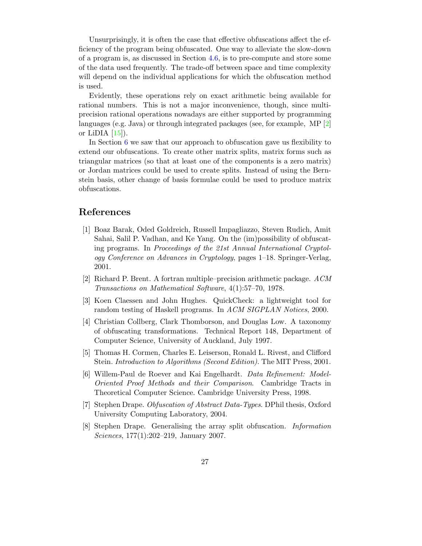Unsurprisingly, it is often the case that effective obfuscations affect the efficiency of the program being obfuscated. One way to alleviate the slow-down of a program is, as discussed in Section [4.6,](#page-17-0) is to pre-compute and store some of the data used frequently. The trade-off between space and time complexity will depend on the individual applications for which the obfuscation method is used.

Evidently, these operations rely on exact arithmetic being available for rational numbers. This is not a major inconvenience, though, since multiprecision rational operations nowadays are either supported by programming languages (e.g. Java) or through integrated packages (see, for example,  $MP$  [\[2\]](#page-27-7) or LiDIA  $[15]$ ).

In Section [6](#page-24-1) we saw that our approach to obfuscation gave us flexibility to extend our obfuscations. To create other matrix splits, matrix forms such as triangular matrices (so that at least one of the components is a zero matrix) or Jordan matrices could be used to create splits. Instead of using the Bernstein basis, other change of basis formulae could be used to produce matrix obfuscations.

# <span id="page-27-1"></span>References

- [1] Boaz Barak, Oded Goldreich, Russell Impagliazzo, Steven Rudich, Amit Sahai, Salil P. Vadhan, and Ke Yang. On the (im)possibility of obfuscating programs. In Proceedings of the 21st Annual International Cryptology Conference on Advances in Cryptology, pages 1–18. Springer-Verlag, 2001.
- <span id="page-27-7"></span><span id="page-27-6"></span>[2] Richard P. Brent. A fortran multiple–precision arithmetic package. ACM Transactions on Mathematical Software, 4(1):57–70, 1978.
- [3] Koen Claessen and John Hughes. QuickCheck: a lightweight tool for random testing of Haskell programs. In ACM SIGPLAN Notices, 2000.
- <span id="page-27-0"></span>[4] Christian Collberg, Clark Thomborson, and Douglas Low. A taxonomy of obfuscating transformations. Technical Report 148, Department of Computer Science, University of Auckland, July 1997.
- <span id="page-27-5"></span>[5] Thomas H. Cormen, Charles E. Leiserson, Ronald L. Rivest, and Clifford Stein. Introduction to Algorithms (Second Edition). The MIT Press, 2001.
- <span id="page-27-3"></span>[6] Willem-Paul de Roever and Kai Engelhardt. Data Refinement: Model-Oriented Proof Methods and their Comparison. Cambridge Tracts in Theoretical Computer Science. Cambridge University Press, 1998.
- <span id="page-27-4"></span><span id="page-27-2"></span>[7] Stephen Drape. Obfuscation of Abstract Data-Types. DPhil thesis, Oxford University Computing Laboratory, 2004.
- [8] Stephen Drape. Generalising the array split obfuscation. Information Sciences, 177(1):202–219, January 2007.